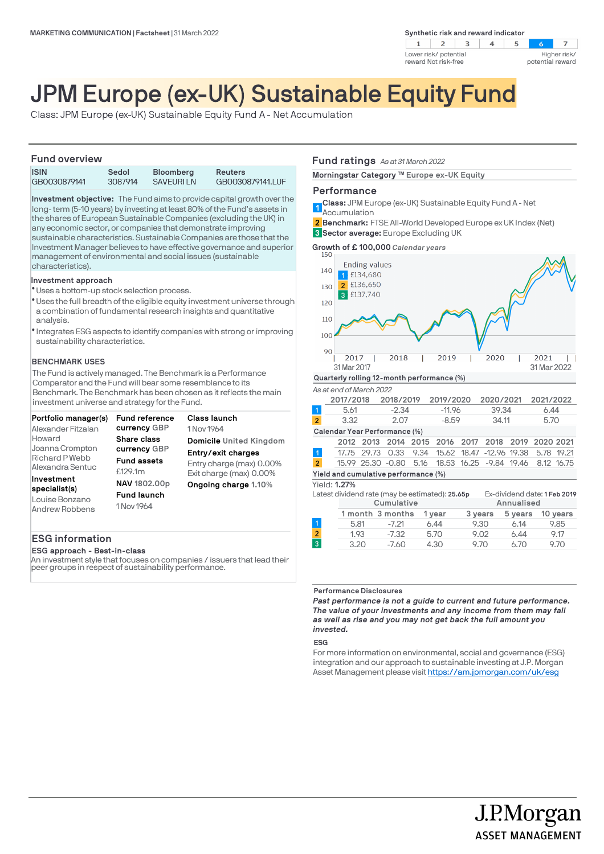**Synthetic risk and reward indicator** 



# JPM Europe (ex-UK) Sustainable Equity Fund

Class: JPM Europe (ex-UK) Sustainable Equity Fund A - Net Accumulation

### **Fund overview**

| <b>ISIN</b>  | Sedol   | <b>Bloomberg</b> | Reuters          |
|--------------|---------|------------------|------------------|
| GB0030879141 | 3087914 | <b>SAVEURILN</b> | GB0030879141.LUF |

**Investment objective:** The Fund aims to provide capital growth over the long-term (5-10 years) by investing at least 80% of the Fund's assets in the shares of European Sustainable Companies (excluding the UK) in any economic sector, or companies that demonstrate improving sustainable characteristics. Sustainable Companies are those that the Investment Manager believes to have effective governance and superior management of environmental and social issues (sustainable characteristics).

### **Investment approach**

- Uses a bottom-up stock selection process. l
- Uses the full breadth of the eligible equity investment universe through a combination of fundamental research insights and quantitative analysis.
- $\bullet$  Integrates ESG aspects to identify companies with strong or improving sustainability characteristics.

### **BENCHMARK USES**

The Fund is actively managed. The Benchmark is a Performance Comparator and the Fund will bear some resemblance to its Benchmark. The Benchmark has been chosen as it reflects the main investment universe and strategy for the Fund.

| Portfolio manager(s)                                            | <b>Fund reference</b>                            | Class launch             |
|-----------------------------------------------------------------|--------------------------------------------------|--------------------------|
| Alexander Fitzalan                                              | currency GBP                                     | 1 Nov 1964               |
| Howard                                                          | <b>Share class</b>                               | Domicile United Kingdom  |
| Joanna Crompton                                                 | currency GBP                                     | Entry/exit charges       |
| Richard P Webb                                                  | <b>Fund assets</b>                               | Entry charge (max) 0.00% |
| Alexandra Sentuc                                                | £129.1m                                          | Exit charge (max) 0.00%  |
| Investment<br>specialist(s)<br>Louise Bonzano<br>Andrew Robbens | NAV 1802.00p<br><b>Fund launch</b><br>1 Nov 1964 | Ongoing charge 1.10%     |

## **ESG information**

**ESG approach - Best-in-class**

An investment style that focuses on companies / issuers that lead their peer groups in respect of sustainability performance.

### **Fund ratings** *As at 31 March 2022*

**Morningstar Category ™ Europe ex-UK Equity** 

### **Performance**

**Class:** JPM Europe (ex-UK) Sustainable Equity Fund A - Net **1**<br>Accumulation

**Benchmark:** FTSE All-World Developed Europe ex UK Index (Net) **2 Sector average:** Europe Excluding UK **3**

**Growth of £ 100,000** *Calendar years*



|  |  |  | As at end of March 2022 |
|--|--|--|-------------------------|
|  |  |  |                         |

|                      | 2017/2018                            |  | 2018/2019 |  | 2019/2020                                                 |  | 2020/2021 |  | 2021/2022 |  |
|----------------------|--------------------------------------|--|-----------|--|-----------------------------------------------------------|--|-----------|--|-----------|--|
| $\blacktriangleleft$ | 5.61                                 |  | $-2.34$   |  | $-11.96$                                                  |  | 39.34     |  | 6.44      |  |
| $\overline{2}$       | 3.32<br>2.07                         |  | $-8.59$   |  | 34.11                                                     |  | 5.70      |  |           |  |
|                      | Calendar Year Performance (%)        |  |           |  |                                                           |  |           |  |           |  |
|                      |                                      |  |           |  | 2012 2013 2014 2015 2016 2017 2018 2019 2020 2021         |  |           |  |           |  |
| $\vert$ 1            |                                      |  |           |  | 17.75 29.73 0.33 9.34 15.62 18.47 -12.96 19.38 5.78 19.21 |  |           |  |           |  |
| $\overline{2}$       |                                      |  |           |  | 15.99 25.30 -0.80 5.16 18.53 16.25 -9.84 19.46 8.12 16.75 |  |           |  |           |  |
|                      | Yield and cumulative performance (%) |  |           |  |                                                           |  |           |  |           |  |

### Yield: **1.27%**

|                                                                                 | 11 CIGI 1.27% |      |                  |        |         |            |          |
|---------------------------------------------------------------------------------|---------------|------|------------------|--------|---------|------------|----------|
| Ex-dividend date: 1 Feb 2019<br>Latest dividend rate (may be estimated): 25.65p |               |      |                  |        |         |            |          |
|                                                                                 |               |      | Cumulative       |        |         | Annualised |          |
|                                                                                 |               |      | 1 month 3 months | 1 year | 3 years | 5 years    | 10 years |
|                                                                                 |               | 5.81 | $-7.21$          | 6.44   | 9.30    | 6.14       | 9.85     |
| $\overline{2}$                                                                  |               | 1.93 | $-7.32$          | 5.70   | 9.02    | 6.44       | 9.17     |
| 3                                                                               |               | 3.20 | $-7.60$          | 4.30   | 9.70    | 6.70       | 9.70     |

#### **Performance Disclosures**

*Past performance is not a guide to current and future performance. The value of your investments and any income from them may fall as well as rise and you may not get back the full amount you invested.* 

**ESG**

For more information on environmental, social and governance (ESG) integration and our approach to sustainable investing at J.P. Morgan Asset Management please visit https://am.jpmorgan.com/uk/esg

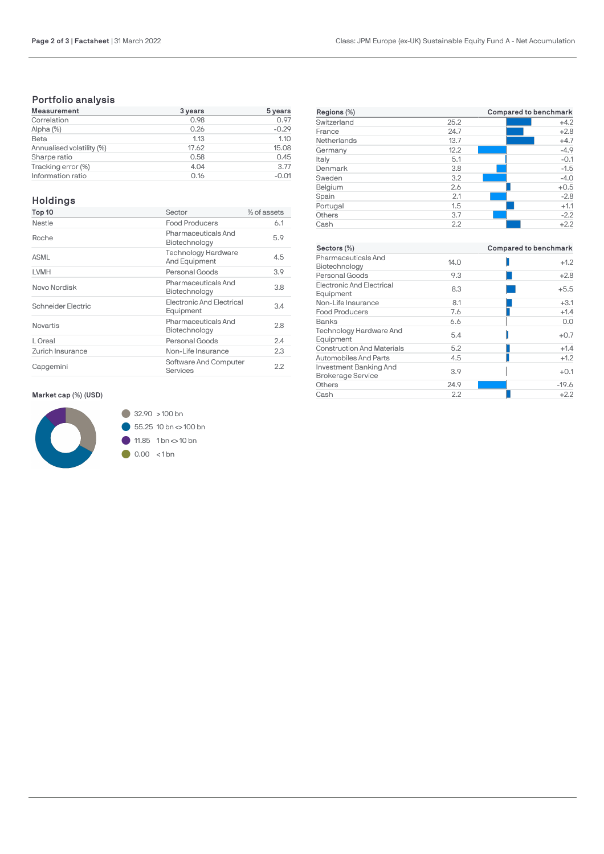# **Portfolio analysis**

| <b>Measurement</b>        | 3 years | 5 years |
|---------------------------|---------|---------|
| Correlation               | 0.98    | 0.97    |
| Alpha (%)                 | 0.26    | $-0.29$ |
| Beta                      | 1.13    | 1.10    |
| Annualised volatility (%) | 17.62   | 15.08   |
| Sharpe ratio              | 0.58    | 0.45    |
| Tracking error (%)        | 4.04    | 3.77    |
| Information ratio         | 0.16    | $-0.01$ |

# **Holdings**

| Top 10             | Sector                                        | % of assets |
|--------------------|-----------------------------------------------|-------------|
| Nestle             | <b>Food Producers</b>                         | 6.1         |
| Roche              | Pharmaceuticals And<br>Biotechnology          | 5.9         |
| <b>ASML</b>        | <b>Technology Hardware</b><br>And Equipment   | 4.5         |
| LVMH               | Personal Goods                                | 3.9         |
| Novo Nordisk       | Pharmaceuticals And<br>Biotechnology          | 3.8         |
| Schneider Electric | <b>Electronic And Electrical</b><br>Equipment | 3.4         |
| Novartis           | Pharmaceuticals And<br>Biotechnology          | 2.8         |
| L Oreal            | Personal Goods                                | 2.4         |
| Zurich Insurance   | Non-Life Insurance                            | 2.3         |
| Capgemini          | Software And Computer<br>Services             | 2.2         |

## **Market cap (%) (USD)**



| Regions (%) |      | Compared to benchmark |
|-------------|------|-----------------------|
| Switzerland | 25.2 | $+4.2$                |
| France      | 24.7 | $+2.8$                |
| Netherlands | 13.7 | $+4.7$                |
| Germany     | 12.2 | $-4.9$                |
| Italy       | 5.1  | $-0.1$                |
| Denmark     | 3.8  | $-1.5$                |
| Sweden      | 3.2  | $-4.0$                |
| Belgium     | 2.6  | $+0.5$                |
| Spain       | 2.1  | $-2.8$                |
| Portugal    | 1.5  | $+1.1$                |
| Others      | 3.7  | $-2.2$                |
| Cash        | 2.2  | $+2.2$                |

| Sectors (%)                                        |      | Compared to benchmark |  |  |
|----------------------------------------------------|------|-----------------------|--|--|
| Pharmaceuticals And<br>Biotechnology               | 14.0 | $+1.2$                |  |  |
| Personal Goods                                     | 9.3  | $+2.8$                |  |  |
| Electronic And Electrical<br>Equipment             | 8.3  | $+5.5$                |  |  |
| Non-Life Insurance                                 | 8.1  | $+3.1$                |  |  |
| <b>Food Producers</b>                              | 7.6  | $+1.4$                |  |  |
| <b>Banks</b>                                       | 6.6  | 0.0                   |  |  |
| <b>Technology Hardware And</b><br>Equipment        | 5.4  | $+0.7$                |  |  |
| <b>Construction And Materials</b>                  | 5.2  | $+1.4$                |  |  |
| Automobiles And Parts                              | 4.5  | $+1.2$                |  |  |
| Investment Banking And<br><b>Brokerage Service</b> | 3.9  | $+0.1$                |  |  |
| Others                                             | 24.9 | $-19.6$               |  |  |
| Cash                                               | 2.2  | $+2.2$                |  |  |